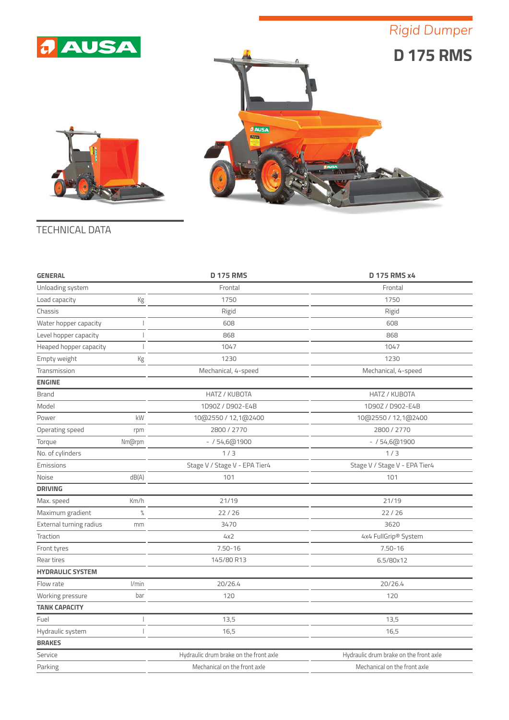## *Rigid Dumper*







| <b>GENERAL</b>          |               | <b>D 175 RMS</b>                       | <b>D 175 RMS x4</b>                    |
|-------------------------|---------------|----------------------------------------|----------------------------------------|
| Unloading system        |               | Frontal                                | Frontal                                |
| Load capacity           | Кg            | 1750                                   | 1750                                   |
| Chassis                 |               | Rigid                                  | Rigid                                  |
| Water hopper capacity   |               | 608                                    | 608                                    |
| Level hopper capacity   |               | 868                                    | 868                                    |
| Heaped hopper capacity  |               | 1047                                   | 1047                                   |
| Empty weight            | Kg            | 1230                                   | 1230                                   |
| Transmission            |               | Mechanical, 4-speed                    | Mechanical, 4-speed                    |
| <b>ENGINE</b>           |               |                                        |                                        |
| <b>Brand</b>            |               | HATZ / KUBOTA                          | HATZ / KUBOTA                          |
| Model                   |               | 1D90Z / D902-E4B                       | 1D90Z / D902-E4B                       |
| Power                   | kW            | 10@2550 / 12,1@2400                    | 10@2550 / 12,1@2400                    |
| Operating speed         | rpm           | 2800 / 2770                            | 2800 / 2770                            |
| Torque                  | Nm@rpm        | $- / 54,6@1900$                        | $- / 54,6@1900$                        |
| No. of cylinders        |               | 1/3                                    | 1/3                                    |
| Emissions               |               | Stage V / Stage V - EPA Tier4          | Stage V / Stage V - EPA Tier4          |
| Noise                   | dB(A)         | 101                                    | 101                                    |
| <b>DRIVING</b>          |               |                                        |                                        |
| Max. speed              | Km/h          | 21/19                                  | 21/19                                  |
| Maximum gradient        | $\frac{0}{0}$ | 22/26                                  | 22/26                                  |
| External turning radius | mm            | 3470                                   | 3620                                   |
| Traction                |               | 4x2                                    | 4x4 FullGrip® System                   |
| Front tyres             |               | $7.50 - 16$                            | $7.50 - 16$                            |
| Rear tires              |               | 145/80 R13                             | 6.5/80x12                              |
| <b>HYDRAULIC SYSTEM</b> |               |                                        |                                        |
| Flow rate               | I/min         | 20/26.4                                | 20/26.4                                |
| Working pressure        | bar           | 120                                    | 120                                    |
| <b>TANK CAPACITY</b>    |               |                                        |                                        |
| Fuel                    |               | 13,5                                   | 13,5                                   |
| Hydraulic system        |               | 16,5                                   | 16,5                                   |
| <b>BRAKES</b>           |               |                                        |                                        |
| Service                 |               | Hydraulic drum brake on the front axle | Hydraulic drum brake on the front axle |
| Parking                 |               | Mechanical on the front axle           | Mechanical on the front axle           |